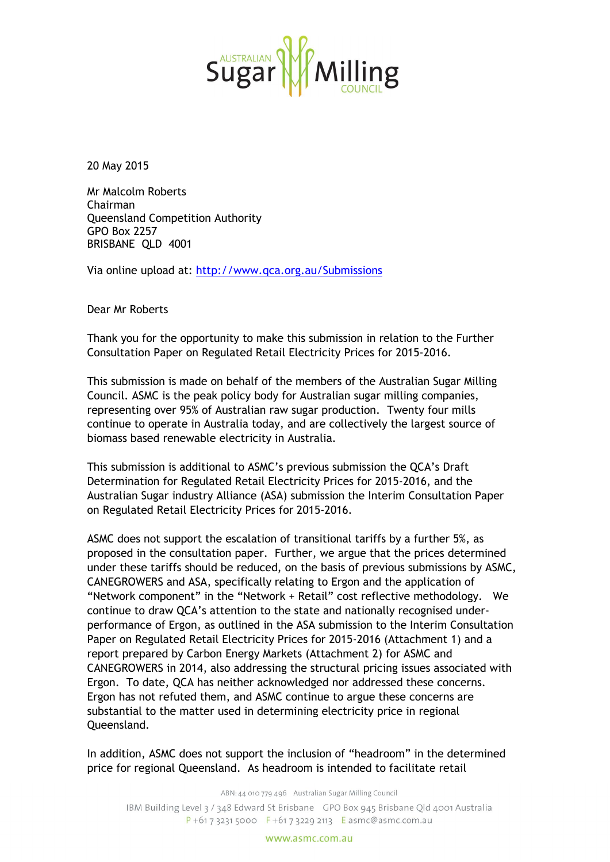

20 May 2015

Mr Malcolm Roberts Chairman Queensland Competition Authority GPO Box 2257 BRISBANE QLD 4001

Via online upload at:<http://www.qca.org.au/Submissions>

Dear Mr Roberts

Thank you for the opportunity to make this submission in relation to the Further Consultation Paper on Regulated Retail Electricity Prices for 2015-2016.

This submission is made on behalf of the members of the Australian Sugar Milling Council. ASMC is the peak policy body for Australian sugar milling companies, representing over 95% of Australian raw sugar production. Twenty four mills continue to operate in Australia today, and are collectively the largest source of biomass based renewable electricity in Australia.

This submission is additional to ASMC's previous submission the QCA's Draft Determination for Regulated Retail Electricity Prices for 2015-2016, and the Australian Sugar industry Alliance (ASA) submission the Interim Consultation Paper on Regulated Retail Electricity Prices for 2015-2016.

ASMC does not support the escalation of transitional tariffs by a further 5%, as proposed in the consultation paper. Further, we argue that the prices determined under these tariffs should be reduced, on the basis of previous submissions by ASMC, CANEGROWERS and ASA, specifically relating to Ergon and the application of "Network component" in the "Network + Retail" cost reflective methodology. We continue to draw QCA's attention to the state and nationally recognised underperformance of Ergon, as outlined in the ASA submission to the Interim Consultation Paper on Regulated Retail Electricity Prices for 2015-2016 (Attachment 1) and a report prepared by Carbon Energy Markets (Attachment 2) for ASMC and CANEGROWERS in 2014, also addressing the structural pricing issues associated with Ergon. To date, QCA has neither acknowledged nor addressed these concerns. Ergon has not refuted them, and ASMC continue to argue these concerns are substantial to the matter used in determining electricity price in regional Queensland.

In addition, ASMC does not support the inclusion of "headroom" in the determined price for regional Queensland. As headroom is intended to facilitate retail

ABN: 44 010 779 496 Australian Sugar Milling Council IBM Building Level 3 / 348 Edward St Brisbane GPO Box 945 Brisbane Old 4001 Australia P+61 7 3231 5000 F+61 7 3229 2113 E asmc@asmc.com.au

www.asmc.com.au